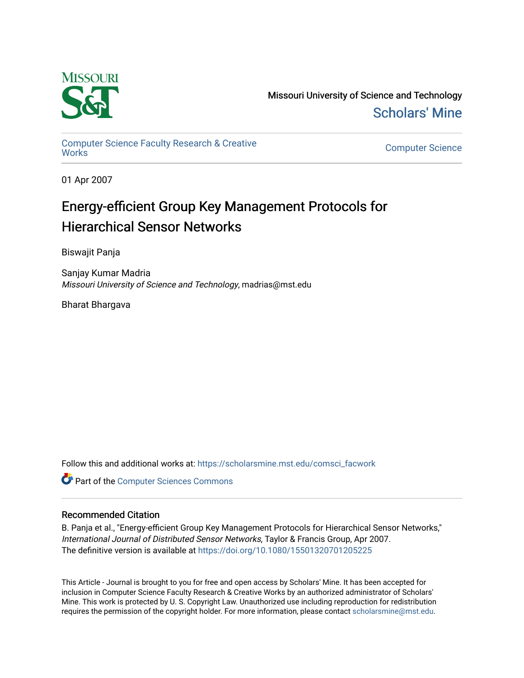

Missouri University of Science and Technology [Scholars' Mine](https://scholarsmine.mst.edu/) 

[Computer Science Faculty Research & Creative](https://scholarsmine.mst.edu/comsci_facwork) 

**Computer Science** 

01 Apr 2007

# Energy-efficient Group Key Management Protocols for Hierarchical Sensor Networks

Biswajit Panja

Sanjay Kumar Madria Missouri University of Science and Technology, madrias@mst.edu

Bharat Bhargava

Follow this and additional works at: [https://scholarsmine.mst.edu/comsci\\_facwork](https://scholarsmine.mst.edu/comsci_facwork?utm_source=scholarsmine.mst.edu%2Fcomsci_facwork%2F80&utm_medium=PDF&utm_campaign=PDFCoverPages) 

**Part of the [Computer Sciences Commons](http://network.bepress.com/hgg/discipline/142?utm_source=scholarsmine.mst.edu%2Fcomsci_facwork%2F80&utm_medium=PDF&utm_campaign=PDFCoverPages)** 

## Recommended Citation

B. Panja et al., "Energy-efficient Group Key Management Protocols for Hierarchical Sensor Networks," International Journal of Distributed Sensor Networks, Taylor & Francis Group, Apr 2007. The definitive version is available at <https://doi.org/10.1080/15501320701205225>

This Article - Journal is brought to you for free and open access by Scholars' Mine. It has been accepted for inclusion in Computer Science Faculty Research & Creative Works by an authorized administrator of Scholars' Mine. This work is protected by U. S. Copyright Law. Unauthorized use including reproduction for redistribution requires the permission of the copyright holder. For more information, please contact [scholarsmine@mst.edu.](mailto:scholarsmine@mst.edu)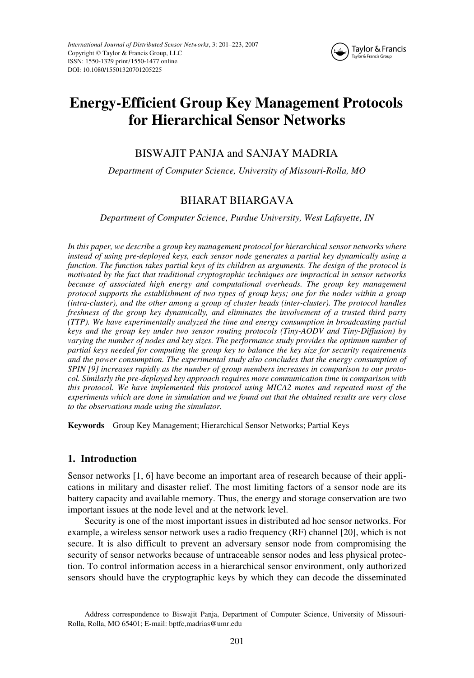

## UDSN 1550-1329 1550-1477International Journal of Distributed Sensor Networks, Vol. 3, No. 2, February 2007: pp. 1–27 Networks **Energy-Efficient Group Key Management Protocols for Hierarchical Sensor Networks**

## BISWAJIT PANJA and SANJAY MADRIA

*Department of Computer Science, University of Missouri-Rolla, MO*

## BHARAT BHARGAVA

*Department of Computer Science, Purdue University, West Lafayette, IN*

*In this paper, we describe a group key management protocol for hierarchical sensor networks where instead of using pre-deployed keys, each sensor node generates a partial key dynamically using a function. The function takes partial keys of its children as arguments. The design of the protocol is motivated by the fact that traditional cryptographic techniques are impractical in sensor networks because of associated high energy and computational overheads. The group key management protocol supports the establishment of two types of group keys; one for the nodes within a group (intra-cluster), and the other among a group of cluster heads (inter-cluster). The protocol handles freshness of the group key dynamically, and eliminates the involvement of a trusted third party (TTP). We have experimentally analyzed the time and energy consumption in broadcasting partial keys and the group key under two sensor routing protocols (Tiny-AODV and Tiny-Diffusion) by varying the number of nodes and key sizes. The performance study provides the optimum number of partial keys needed for computing the group key to balance the key size for security requirements and the power consumption. The experimental study also concludes that the energy consumption of SPIN [9] increases rapidly as the number of group members increases in comparison to our protocol. Similarly the pre-deployed key approach requires more communication time in comparison with this protocol. We have implemented this protocol using MICA2 motes and repeated most of the experiments which are done in simulation and we found out that the obtained results are very close to the observations made using the simulator.*

**Keywords** Group Key Management; Hierarchical Sensor Networks; Partial Keys

## **1. Introduction**

Sensor networks [1, 6] have become an important area of research because of their applications in military and disaster relief. The most limiting factors of a sensor node are its battery capacity and available memory. Thus, the energy and storage conservation are two important issues at the node level and at the network level.

Security is one of the most important issues in distributed ad hoc sensor networks. For example, a wireless sensor network uses a radio frequency (RF) channel [20], which is not secure. It is also difficult to prevent an adversary sensor node from compromising the security of sensor networks because of untraceable sensor nodes and less physical protection. To control information access in a hierarchical sensor environment, only authorized sensors should have the cryptographic keys by which they can decode the disseminated

Address correspondence to Biswajit Panja, Department of Computer Science, University of Missouri-Rolla, Rolla, MO 65401; E-mail: bptfc,madrias@umr.edu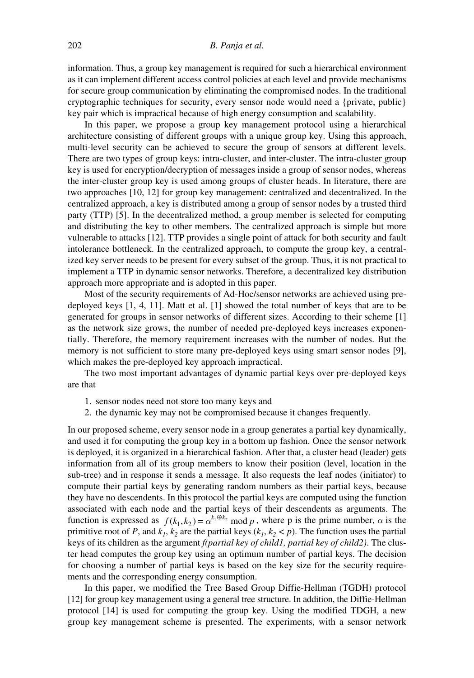### 202 *B. Panja et al.*

information. Thus, a group key management is required for such a hierarchical environment as it can implement different access control policies at each level and provide mechanisms for secure group communication by eliminating the compromised nodes. In the traditional cryptographic techniques for security, every sensor node would need a {private, public} key pair which is impractical because of high energy consumption and scalability.

In this paper, we propose a group key management protocol using a hierarchical architecture consisting of different groups with a unique group key. Using this approach, multi-level security can be achieved to secure the group of sensors at different levels. There are two types of group keys: intra-cluster, and inter-cluster. The intra-cluster group key is used for encryption/decryption of messages inside a group of sensor nodes, whereas the inter-cluster group key is used among groups of cluster heads. In literature, there are two approaches [10, 12] for group key management: centralized and decentralized. In the centralized approach, a key is distributed among a group of sensor nodes by a trusted third party (TTP) [5]. In the decentralized method, a group member is selected for computing and distributing the key to other members. The centralized approach is simple but more vulnerable to attacks [12]. TTP provides a single point of attack for both security and fault intolerance bottleneck. In the centralized approach, to compute the group key, a centralized key server needs to be present for every subset of the group. Thus, it is not practical to implement a TTP in dynamic sensor networks. Therefore, a decentralized key distribution approach more appropriate and is adopted in this paper.

Most of the security requirements of Ad-Hoc/sensor networks are achieved using predeployed keys [1, 4, 11]. Matt et al. [1] showed the total number of keys that are to be generated for groups in sensor networks of different sizes. According to their scheme [1] as the network size grows, the number of needed pre-deployed keys increases exponentially. Therefore, the memory requirement increases with the number of nodes. But the memory is not sufficient to store many pre-deployed keys using smart sensor nodes [9], which makes the pre-deployed key approach impractical.

The two most important advantages of dynamic partial keys over pre-deployed keys are that

- 1. sensor nodes need not store too many keys and
- 2. the dynamic key may not be compromised because it changes frequently.

In our proposed scheme, every sensor node in a group generates a partial key dynamically, and used it for computing the group key in a bottom up fashion. Once the sensor network is deployed, it is organized in a hierarchical fashion. After that, a cluster head (leader) gets information from all of its group members to know their position (level, location in the sub-tree) and in response it sends a message. It also requests the leaf nodes (initiator) to compute their partial keys by generating random numbers as their partial keys, because they have no descendents. In this protocol the partial keys are computed using the function associated with each node and the partial keys of their descendents as arguments. The function is expressed as  $f(k_1, k_2) = \alpha^{k_1 \oplus k_2} \mod p$ , where p is the prime number,  $\alpha$  is the primitive root of *P*, and  $k_1$ ,  $k_2$  are the partial keys ( $k_1$ ,  $k_2 < p$ ). The function uses the partial keys of its children as the argument *f(partial key of child1, partial key of child2)*. The cluster head computes the group key using an optimum number of partial keys. The decision for choosing a number of partial keys is based on the key size for the security requirements and the corresponding energy consumption.

In this paper, we modified the Tree Based Group Diffie-Hellman (TGDH) protocol [12] for group key management using a general tree structure. In addition, the Diffie-Hellman protocol [14] is used for computing the group key. Using the modified TDGH, a new group key management scheme is presented. The experiments, with a sensor network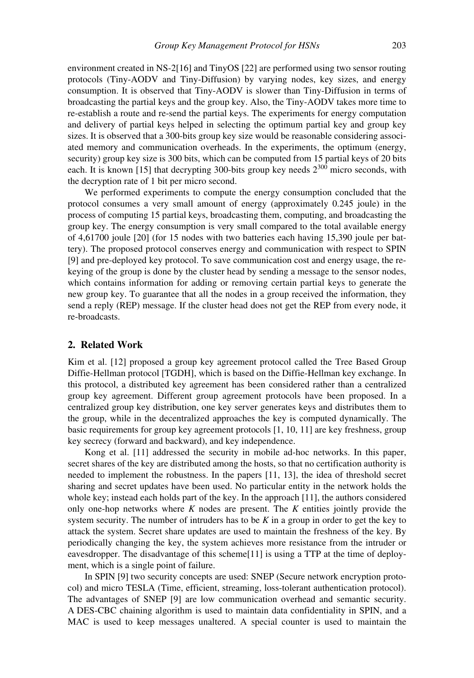environment created in NS-2[16] and TinyOS [22] are performed using two sensor routing protocols (Tiny-AODV and Tiny-Diffusion) by varying nodes, key sizes, and energy consumption. It is observed that Tiny-AODV is slower than Tiny-Diffusion in terms of broadcasting the partial keys and the group key. Also, the Tiny-AODV takes more time to re-establish a route and re-send the partial keys. The experiments for energy computation and delivery of partial keys helped in selecting the optimum partial key and group key sizes. It is observed that a 300-bits group key size would be reasonable considering associated memory and communication overheads. In the experiments, the optimum (energy, security) group key size is 300 bits, which can be computed from 15 partial keys of 20 bits each. It is known [15] that decrypting 300-bits group key needs  $2^{300}$  micro seconds, with the decryption rate of 1 bit per micro second.

We performed experiments to compute the energy consumption concluded that the protocol consumes a very small amount of energy (approximately 0.245 joule) in the process of computing 15 partial keys, broadcasting them, computing, and broadcasting the group key. The energy consumption is very small compared to the total available energy of 4,61700 joule [20] (for 15 nodes with two batteries each having 15,390 joule per battery). The proposed protocol conserves energy and communication with respect to SPIN [9] and pre-deployed key protocol. To save communication cost and energy usage, the rekeying of the group is done by the cluster head by sending a message to the sensor nodes, which contains information for adding or removing certain partial keys to generate the new group key. To guarantee that all the nodes in a group received the information, they send a reply (REP) message. If the cluster head does not get the REP from every node, it re-broadcasts.

## **2. Related Work**

Kim et al. [12] proposed a group key agreement protocol called the Tree Based Group Diffie-Hellman protocol [TGDH], which is based on the Diffie-Hellman key exchange. In this protocol, a distributed key agreement has been considered rather than a centralized group key agreement. Different group agreement protocols have been proposed. In a centralized group key distribution, one key server generates keys and distributes them to the group, while in the decentralized approaches the key is computed dynamically. The basic requirements for group key agreement protocols [1, 10, 11] are key freshness, group key secrecy (forward and backward), and key independence.

Kong et al. [11] addressed the security in mobile ad-hoc networks. In this paper, secret shares of the key are distributed among the hosts, so that no certification authority is needed to implement the robustness. In the papers [11, 13], the idea of threshold secret sharing and secret updates have been used. No particular entity in the network holds the whole key; instead each holds part of the key. In the approach [11], the authors considered only one-hop networks where *K* nodes are present. The *K* entities jointly provide the system security. The number of intruders has to be *K* in a group in order to get the key to attack the system. Secret share updates are used to maintain the freshness of the key. By periodically changing the key, the system achieves more resistance from the intruder or eavesdropper. The disadvantage of this scheme[11] is using a TTP at the time of deployment, which is a single point of failure.

In SPIN [9] two security concepts are used: SNEP (Secure network encryption protocol) and micro TESLA (Time, efficient, streaming, loss-tolerant authentication protocol). The advantages of SNEP [9] are low communication overhead and semantic security. A DES-CBC chaining algorithm is used to maintain data confidentiality in SPIN, and a MAC is used to keep messages unaltered. A special counter is used to maintain the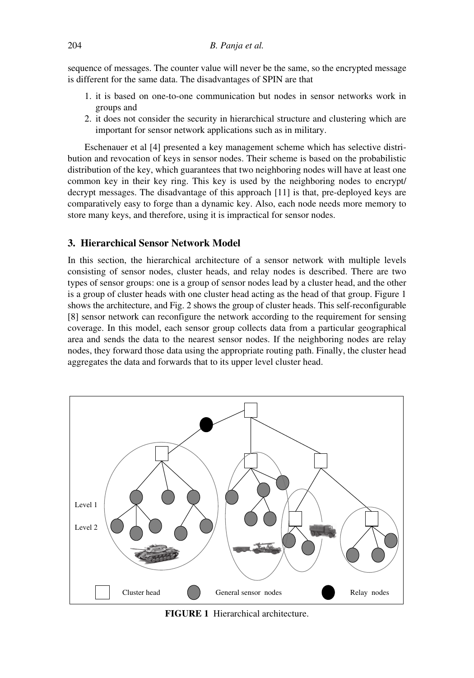sequence of messages. The counter value will never be the same, so the encrypted message is different for the same data. The disadvantages of SPIN are that

- 1. it is based on one-to-one communication but nodes in sensor networks work in groups and
- 2. it does not consider the security in hierarchical structure and clustering which are important for sensor network applications such as in military.

Eschenauer et al [4] presented a key management scheme which has selective distribution and revocation of keys in sensor nodes. Their scheme is based on the probabilistic distribution of the key, which guarantees that two neighboring nodes will have at least one common key in their key ring. This key is used by the neighboring nodes to encrypt/ decrypt messages. The disadvantage of this approach [11] is that, pre-deployed keys are comparatively easy to forge than a dynamic key. Also, each node needs more memory to store many keys, and therefore, using it is impractical for sensor nodes.

## **3. Hierarchical Sensor Network Model**

In this section, the hierarchical architecture of a sensor network with multiple levels consisting of sensor nodes, cluster heads, and relay nodes is described. There are two types of sensor groups: one is a group of sensor nodes lead by a cluster head, and the other is a group of cluster heads with one cluster head acting as the head of that group. Figure 1 shows the architecture, and Fig. 2 shows the group of cluster heads. This self-reconfigurable [8] sensor network can reconfigure the network according to the requirement for sensing coverage. In this model, each sensor group collects data from a particular geographical area and sends the data to the nearest sensor nodes. If the neighboring nodes are relay nodes, they forward those data using the appropriate routing path. Finally, the cluster head aggregates the data and forwards that to its upper level cluster head.



**FIGURE 1** Hierarchical architecture.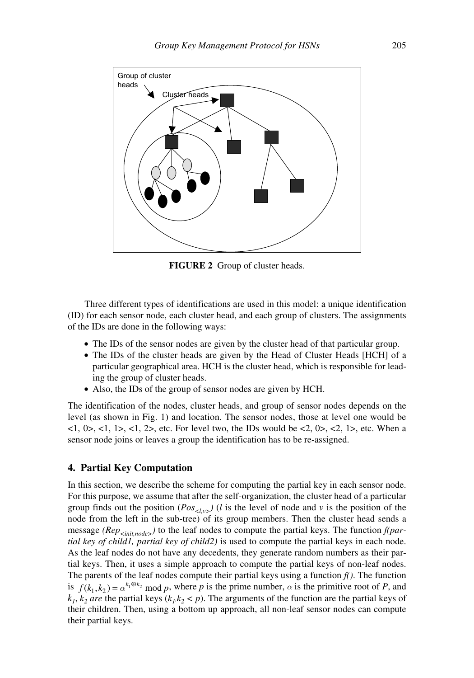

**FIGURE 2** Group of cluster heads.

Three different types of identifications are used in this model: a unique identification (ID) for each sensor node, each cluster head, and each group of clusters. The assignments of the IDs are done in the following ways:

- The IDs of the sensor nodes are given by the cluster head of that particular group.
- The IDs of the cluster heads are given by the Head of Cluster Heads [HCH] of a particular geographical area. HCH is the cluster head, which is responsible for leading the group of cluster heads.
- Also, the IDs of the group of sensor nodes are given by HCH.

The identification of the nodes, cluster heads, and group of sensor nodes depends on the level (as shown in Fig. 1) and location. The sensor nodes, those at level one would be <1, 0>, <1, 1>, <1, 2>, etc. For level two, the IDs would be <2, 0>, <2, 1>, etc. When a sensor node joins or leaves a group the identification has to be re-assigned.

## **4. Partial Key Computation**

In this section, we describe the scheme for computing the partial key in each sensor node. For this purpose, we assume that after the self-organization, the cluster head of a particular group finds out the position ( $Pos_{\leq\ell y>}(l)$  is the level of node and v is the position of the node from the left in the sub-tree) of its group members. Then the cluster head sends a message *(Rep<sub>cinit nodes*) to the leaf nodes to compute the partial keys. The function *f(par-*</sub> *tial key of child1, partial key of child2)* is used to compute the partial keys in each node. As the leaf nodes do not have any decedents, they generate random numbers as their partial keys. Then, it uses a simple approach to compute the partial keys of non-leaf nodes. The parents of the leaf nodes compute their partial keys using a function  $f()$ . The function is  $f(k_1, k_2) = \alpha^{k_1 \oplus k_2} \mod p$ , where p is the prime number,  $\alpha$  is the primitive root of P, and  $k_1, k_2$  *are* the partial keys  $(k_1, k_2 < p)$ . The arguments of the function are the partial keys of their children. Then, using a bottom up approach, all non-leaf sensor nodes can compute their partial keys.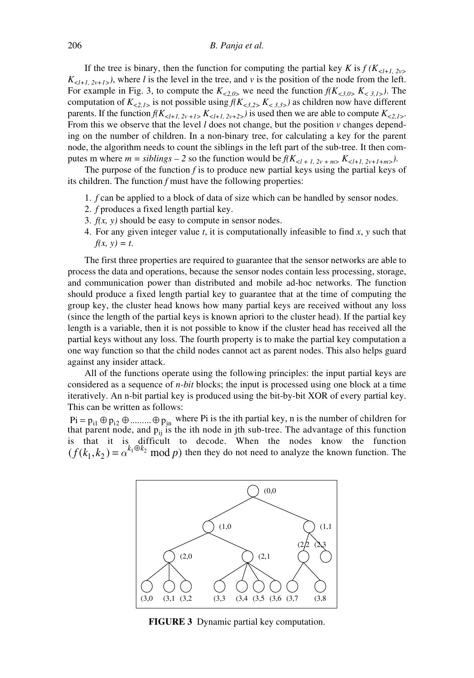If the tree is binary, then the function for computing the partial key *K* is  $f(K_{\leq l+1, 2v>}$  $K_{\leq l+1, 2\nu+1>}$ ), where *l* is the level in the tree, and *v* is the position of the node from the left. For example in Fig. 3, to compute the  $K_{<2,0>}$  we need the function  $f(K_{<3,0}>K_{<3,1}>)$ . The computation of  $K_{\leq 2,1>}$  is not possible using  $f(K_{\leq 3,2>}$ ,  $K_{\leq 3,3>}$ ) as children now have different parents. If the function  $f(K_{< l+1, 2v+1} K_{< l+1, 2v+2} )$  is used then we are able to compute  $K_{< 2, l>}$ . From this we observe that the level  $l$  does not change, but the position  $v$  changes depending on the number of children. In a non-binary tree, for calculating a key for the parent node, the algorithm needs to count the siblings in the left part of the sub-tree. It then computes m where  $m = siblings - 2$  so the function would be  $f(K_{< l+1, 2v+m>} K_{< l+1, 2v+1+m>}).$ 

The purpose of the function *f* is to produce new partial keys using the partial keys of its children. The function *f* must have the following properties:

- 1. *f* can be applied to a block of data of size which can be handled by sensor nodes.
- 2. *f* produces a fixed length partial key.
- 3. *f(x, y)* should be easy to compute in sensor nodes.
- 4. For any given integer value *t*, it is computationally infeasible to find *x*, *y* such that  $f(x, y) = t$ .

The first three properties are required to guarantee that the sensor networks are able to process the data and operations, because the sensor nodes contain less processing, storage, and communication power than distributed and mobile ad-hoc networks. The function should produce a fixed length partial key to guarantee that at the time of computing the group key, the cluster head knows how many partial keys are received without any loss (since the length of the partial keys is known apriori to the cluster head). If the partial key length is a variable, then it is not possible to know if the cluster head has received all the partial keys without any loss. The fourth property is to make the partial key computation a one way function so that the child nodes cannot act as parent nodes. This also helps guard against any insider attack.

All of the functions operate using the following principles: the input partial keys are considered as a sequence of *n-bit* blocks; the input is processed using one block at a time iteratively. An n-bit partial key is produced using the bit-by-bit XOR of every partial key. This can be written as follows:

 $Pi = p_{i1} \oplus p_{i2} \oplus \dots \oplus p_{in}$  where Pi is the ith partial key, n is the number of children for that parent node, and  $p_{ij}$  is the ith node in jth sub-tree. The advantage of this function is that it is difficult to decode. When the nodes know the function  $(f(k_1, k_2) = \alpha^{k_1 \oplus k_2} \mod p$  then they do not need to analyze the known function. The



**FIGURE 3** Dynamic partial key computation.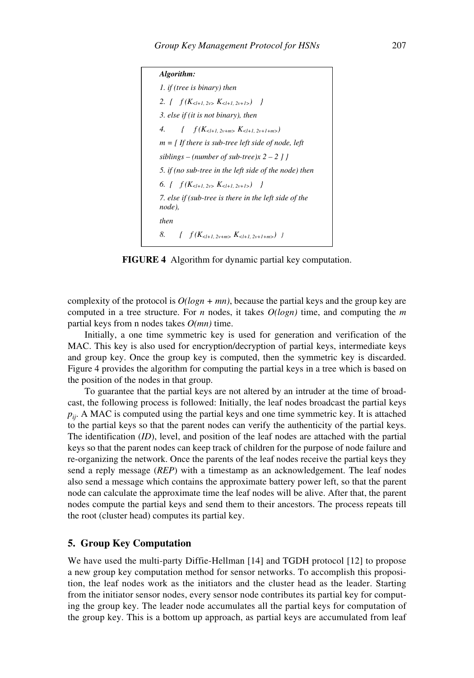```
Algorithm: 
1. if (tree is binary) then
2. \{ f(K_{\leq l+1, 2v>} K_{\leq l+1, 2v+l>} ) \}3. else if (it is not binary), then
4. { f (K<l+1, 2v+m> K<l+1, 2v+1+m>)
m = [ If there is sub-tree left side of node, left 
siblings – (number of sub-tree)x 2 – 2 ] } 
5. if (no sub-tree in the left side of the node) then
6. { f (K<l+1, 2v> K<l+1, 2v+1>) } 
7. else if (sub-tree is there in the left side of the 
node), 
then
8. \{f(K_{\leq l+1, 2v+m> K_{\leq l+1, 2v+l+m>} )\}
```
**FIGURE 4** Algorithm for dynamic partial key computation.

complexity of the protocol is  $O(logn + mn)$ , because the partial keys and the group key are computed in a tree structure. For *n* nodes, it takes *O(logn)* time, and computing the *m* partial keys from n nodes takes *O(mn)* time.

Initially, a one time symmetric key is used for generation and verification of the MAC. This key is also used for encryption/decryption of partial keys, intermediate keys and group key. Once the group key is computed, then the symmetric key is discarded. Figure 4 provides the algorithm for computing the partial keys in a tree which is based on the position of the nodes in that group.

To guarantee that the partial keys are not altered by an intruder at the time of broadcast, the following process is followed: Initially, the leaf nodes broadcast the partial keys  $p_{ii}$ . A MAC is computed using the partial keys and one time symmetric key. It is attached to the partial keys so that the parent nodes can verify the authenticity of the partial keys. The identification (*ID*), level, and position of the leaf nodes are attached with the partial keys so that the parent nodes can keep track of children for the purpose of node failure and re-organizing the network. Once the parents of the leaf nodes receive the partial keys they send a reply message (*REP*) with a timestamp as an acknowledgement. The leaf nodes also send a message which contains the approximate battery power left, so that the parent node can calculate the approximate time the leaf nodes will be alive. After that, the parent nodes compute the partial keys and send them to their ancestors. The process repeats till the root (cluster head) computes its partial key.

## **5. Group Key Computation**

We have used the multi-party Diffie-Hellman [14] and TGDH protocol [12] to propose a new group key computation method for sensor networks. To accomplish this proposition, the leaf nodes work as the initiators and the cluster head as the leader. Starting from the initiator sensor nodes, every sensor node contributes its partial key for computing the group key. The leader node accumulates all the partial keys for computation of the group key. This is a bottom up approach, as partial keys are accumulated from leaf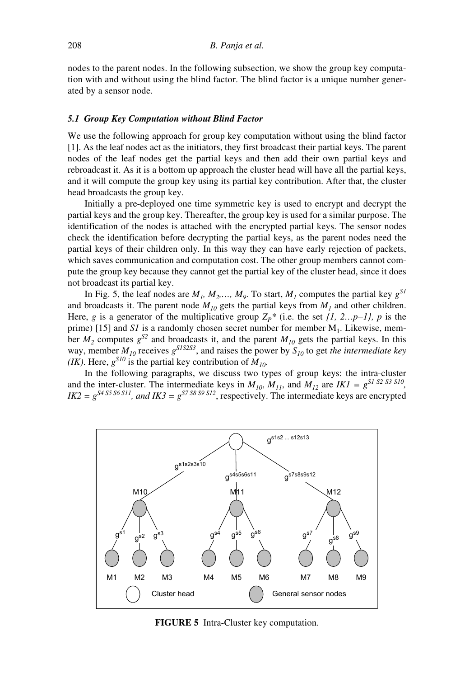nodes to the parent nodes. In the following subsection, we show the group key computation with and without using the blind factor. The blind factor is a unique number generated by a sensor node.

#### *5.1 Group Key Computation without Blind Factor*

We use the following approach for group key computation without using the blind factor [1]. As the leaf nodes act as the initiators, they first broadcast their partial keys. The parent nodes of the leaf nodes get the partial keys and then add their own partial keys and rebroadcast it. As it is a bottom up approach the cluster head will have all the partial keys, and it will compute the group key using its partial key contribution. After that, the cluster head broadcasts the group key.

Initially a pre-deployed one time symmetric key is used to encrypt and decrypt the partial keys and the group key. Thereafter, the group key is used for a similar purpose. The identification of the nodes is attached with the encrypted partial keys. The sensor nodes check the identification before decrypting the partial keys, as the parent nodes need the partial keys of their children only. In this way they can have early rejection of packets, which saves communication and computation cost. The other group members cannot compute the group key because they cannot get the partial key of the cluster head, since it does not broadcast its partial key.

In Fig. 5, the leaf nodes are  $M_1$ ,  $M_2$ ,...,  $M_9$ . To start,  $M_1$  computes the partial key  $g^{SI}$ and broadcasts it. The parent node  $M_{10}$  gets the partial keys from  $M_1$  and other children. Here, *g* is a generator of the multiplicative group  $Z_P^*$  (i.e. the set *{1, 2…p-1}, p* is the prime) [15] and *S1* is a randomly chosen secret number for member  $M_1$ . Likewise, member  $M_2$  computes  $g^{S2}$  and broadcasts it, and the parent  $M_{10}$  gets the partial keys. In this way, member  $M_{10}$  receives  $g^{SISS3}$ , and raises the power by  $S_{10}$  to get *the intermediate key (IK)*. Here,  $g^{S10}$  is the partial key contribution of  $M_{10}$ .

In the following paragraphs, we discuss two types of group keys: the intra-cluster and the inter-cluster. The intermediate keys in  $M_{10}$ ,  $M_{11}$ , and  $M_{12}$  are  $IKI = g^{SI \ S2 \ S3 \ S10}$ ,  $IK2 = g^{S4 S5 S6 S11}$ , and  $IK3 = g^{S7 S8 S9 S12}$ , respectively. The intermediate keys are encrypted



**FIGURE 5** Intra-Cluster key computation.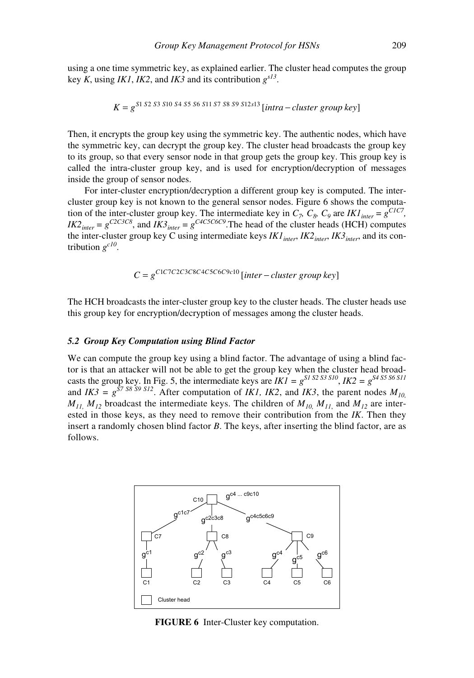using a one time symmetric key, as explained earlier. The cluster head computes the group key *K*, using *IK1*, *IK2*, and *IK3* and its contribution  $g^{s/3}$ .

$$
K = g^{S1 S2 S3 S10 S4 S5 S6 S11 S7 S8 S9 S12 S13} [intra-cluster group key]
$$

Then, it encrypts the group key using the symmetric key. The authentic nodes, which have the symmetric key, can decrypt the group key. The cluster head broadcasts the group key to its group, so that every sensor node in that group gets the group key. This group key is called the intra-cluster group key, and is used for encryption/decryption of messages inside the group of sensor nodes.

For inter-cluster encryption/decryption a different group key is computed. The intercluster group key is not known to the general sensor nodes. Figure 6 shows the computation of the inter-cluster group key. The intermediate key in  $C_7$ ,  $C_8$ ,  $C_9$  are *IK1*<sub>inter</sub> =  $g^{CIC7}$ ,  $IK2_{inter} = g^{C2CSC8}$ , and  $IK3_{inter} = g^{C4CSC6C9}$ . The head of the cluster heads (HCH) computes the inter-cluster group key C using intermediate keys *IK1<sub>inter</sub>*, *IK2<sub>inter</sub>*, *IK3<sub>inter</sub>*, and its contribution *gc10*.

$$
C = g^{C1 C7 C2 C3 C8 C4 C5 C6 C9 c10} [inter-cluster group key]
$$

The HCH broadcasts the inter-cluster group key to the cluster heads. The cluster heads use this group key for encryption/decryption of messages among the cluster heads.

#### *5.2 Group Key Computation using Blind Factor*

We can compute the group key using a blind factor. The advantage of using a blind factor is that an attacker will not be able to get the group key when the cluster head broadcasts the group key. In Fig. 5, the intermediate keys are  $IKI = g^{SI S2 S3 S10}$ ,  $IK2 = g^{S4 S5 S6 S11}$ and  $IK3 = g^{57.58.59.512}$ . After computation of *IK1*, *IK2*, and *IK3*, the parent nodes  $M_{10}$ .  $M_{11}$ ,  $M_{12}$  broadcast the intermediate keys. The children of  $M_{10}$ ,  $M_{11}$ , and  $M_{12}$  are interested in those keys, as they need to remove their contribution from the *IK*. Then they insert a randomly chosen blind factor *B*. The keys, after inserting the blind factor, are as follows.



**FIGURE 6** Inter-Cluster key computation.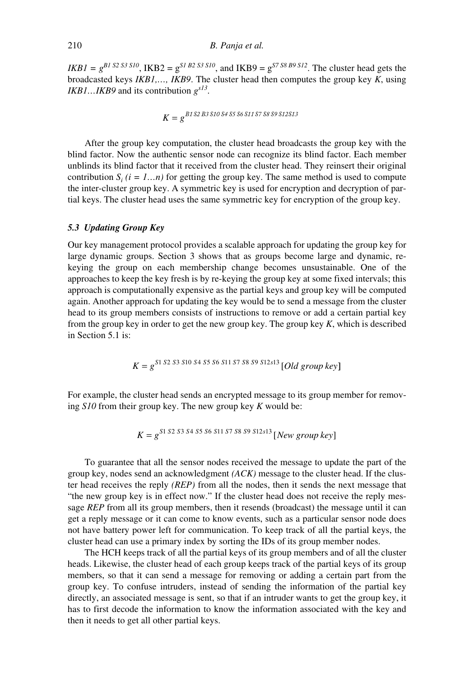*IKB1* =  $g^{B1 S2 S3 S10}$ , IKB2 =  $g^{S1 B2 S3 S10}$ , and IKB9 =  $g^{S7 S8 B9 S12}$ . The cluster head gets the broadcasted keys *IKB1,…, IKB9*. The cluster head then computes the group key *K*, using *IKB1…IKB9* and its contribution *gs13*.

$$
K = g^{B1 S2 B3 S10 S4 S5 S6 S11 S7 S8 S9 S12 S13}
$$

After the group key computation, the cluster head broadcasts the group key with the blind factor. Now the authentic sensor node can recognize its blind factor. Each member unblinds its blind factor that it received from the cluster head. They reinsert their original contribution  $S_i$  ( $i = 1...n$ ) for getting the group key. The same method is used to compute the inter-cluster group key. A symmetric key is used for encryption and decryption of partial keys. The cluster head uses the same symmetric key for encryption of the group key.

## *5.3 Updating Group Key*

Our key management protocol provides a scalable approach for updating the group key for large dynamic groups. Section 3 shows that as groups become large and dynamic, rekeying the group on each membership change becomes unsustainable. One of the approaches to keep the key fresh is by re-keying the group key at some fixed intervals; this approach is computationally expensive as the partial keys and group key will be computed again. Another approach for updating the key would be to send a message from the cluster head to its group members consists of instructions to remove or add a certain partial key from the group key in order to get the new group key. The group key *K*, which is described in Section 5.1 is:

$$
K = g^{S1 S2 S3 S10 S4 S5 S6 S11 S7 S8 S9 S12 s13} [Old group key]
$$

For example, the cluster head sends an encrypted message to its group member for removing *S10* from their group key. The new group key *K* would be:

$$
K = g^{S1 S2 S3 S4 S5 S6 S11 S7 S8 S9 S12 s13} [New group key]
$$

To guarantee that all the sensor nodes received the message to update the part of the group key, nodes send an acknowledgment *(ACK)* message to the cluster head. If the cluster head receives the reply *(REP)* from all the nodes, then it sends the next message that "the new group key is in effect now." If the cluster head does not receive the reply message *REP* from all its group members, then it resends (broadcast) the message until it can get a reply message or it can come to know events, such as a particular sensor node does not have battery power left for communication. To keep track of all the partial keys, the cluster head can use a primary index by sorting the IDs of its group member nodes.

The HCH keeps track of all the partial keys of its group members and of all the cluster heads. Likewise, the cluster head of each group keeps track of the partial keys of its group members, so that it can send a message for removing or adding a certain part from the group key. To confuse intruders, instead of sending the information of the partial key directly, an associated message is sent, so that if an intruder wants to get the group key, it has to first decode the information to know the information associated with the key and then it needs to get all other partial keys.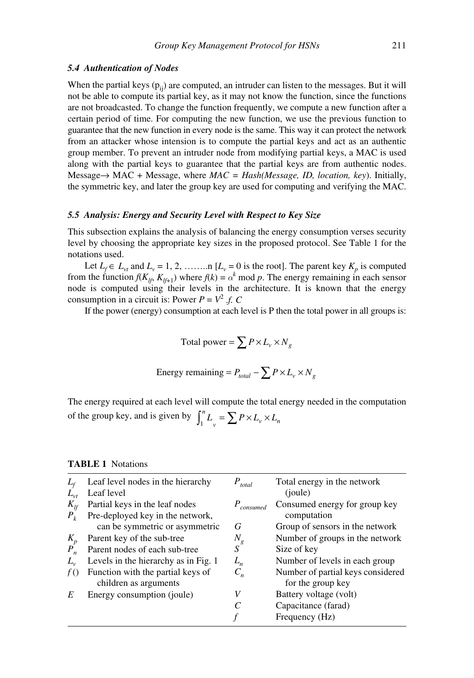#### *5.4 Authentication of Nodes*

When the partial keys  $(p_{ii})$  are computed, an intruder can listen to the messages. But it will not be able to compute its partial key, as it may not know the function, since the functions are not broadcasted. To change the function frequently, we compute a new function after a certain period of time. For computing the new function, we use the previous function to guarantee that the new function in every node is the same. This way it can protect the network from an attacker whose intension is to compute the partial keys and act as an authentic group member. To prevent an intruder node from modifying partial keys, a MAC is used along with the partial keys to guarantee that the partial keys are from authentic nodes. Message→ MAC + Message, where *MAC = Hash(Message, ID, location, key*). Initially, the symmetric key, and later the group key are used for computing and verifying the MAC.

## *5.5 Analysis: Energy and Security Level with Respect to Key Size*

This subsection explains the analysis of balancing the energy consumption verses security level by choosing the appropriate key sizes in the proposed protocol. See Table 1 for the notations used.

Let  $L_f \in L_{vt}$  and  $L_v = 1, 2, \dots \dots \text{ in } [L_v = 0 \text{ is the root}]$ . The parent key  $K_p$  is computed from the function  $f(K_{lf}, K_{lf+1})$  where  $f(k) = \alpha^k \text{ mod } p$ . The energy remaining in each sensor node is computed using their levels in the architecture. It is known that the energy consumption in a circuit is: Power  $P = V^2 f$ .

If the power (energy) consumption at each level is P then the total power in all groups is:

Total power = 
$$
\sum P \times L_v \times N_g
$$

Energy remaining = 
$$
P_{total} - \sum P \times L_v \times N_g
$$

The energy required at each level will compute the total energy needed in the computation of the group key, and is given by  $\int_1^n L_v = \sum P \times L_v \times L_n$ 

|          | Leaf level nodes in the hierarchy    | $P_{total}$             | Total energy in the network       |
|----------|--------------------------------------|-------------------------|-----------------------------------|
|          | Leaf level                           |                         | (joule)                           |
| $K_{lf}$ | Partial keys in the leaf nodes       | $P_{\textit{consumed}}$ | Consumed energy for group key     |
| $P_{k}$  | Pre-deployed key in the network,     |                         | computation                       |
|          | can be symmetric or asymmetric       | G                       | Group of sensors in the network   |
| $K_p$    | Parent key of the sub-tree           | $N_{\rm g}$             | Number of groups in the network   |
| $P_n$    | Parent nodes of each sub-tree        | S                       | Size of key                       |
| $L_{v}$  | Levels in the hierarchy as in Fig. 1 | $L_n$                   | Number of levels in each group    |
|          | Function with the partial keys of    | $C_n$                   | Number of partial keys considered |
|          | children as arguments                |                         | for the group key                 |
| E        | Energy consumption (joule)           |                         | Battery voltage (volt)            |
|          |                                      |                         | Capacitance (farad)               |
|          |                                      |                         | Frequency (Hz)                    |

## **TABLE 1** Notations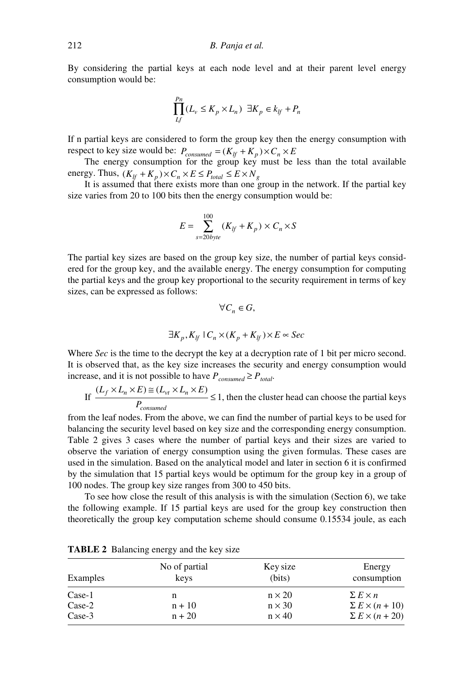By considering the partial keys at each node level and at their parent level energy consumption would be:

$$
\prod_{Lf}^{p_n} (L_v \le K_p \times L_n) \exists K_p \in k_{lf} + P_n
$$

If n partial keys are considered to form the group key then the energy consumption with respect to key size would be:  $P_{consumed} = (K_{lf} + K_p) \times C_n \times E$ 

The energy consumption for the group key must be less than the total available energy. Thus,  $(K_{lf} + K_p) \times C_n \times E \leq P_{total} \leq E \times N_g$ 

It is assumed that there exists more than one group in the network. If the partial key size varies from 20 to 100 bits then the energy consumption would be:

$$
E = \sum_{s=20 byte}^{100} (K_{lf} + K_p) \times C_n \times S
$$

The partial key sizes are based on the group key size, the number of partial keys considered for the group key, and the available energy. The energy consumption for computing the partial keys and the group key proportional to the security requirement in terms of key sizes, can be expressed as follows:

$$
\forall C_n \in G,
$$
  

$$
\exists K_n, K_{1'} | C_n \times (K_n + K_{1'}) \times E \approx Sec
$$

Where *Sec* is the time to the decrypt the key at a decryption rate of 1 bit per micro second. It is observed that, as the key size increases the security and energy consumption would increase, and it is not possible to have  $P_{consumed} \ge P_{total}$ .

If  $\frac{(L_f \times L_n \times E) \equiv (L_{vt} \times L_n \times E)}{E} \leq 1$ , then the cluster head can choose the partial keys *P*  $f \wedge L_n \wedge L_j = (L_{vt} \wedge L_n)$ *consumed*  $\times L_n \times E \cong (L_{vt} \times L_n \times$  $\leq 1$ 

from the leaf nodes. From the above, we can find the number of partial keys to be used for balancing the security level based on key size and the corresponding energy consumption. Table 2 gives 3 cases where the number of partial keys and their sizes are varied to observe the variation of energy consumption using the given formulas. These cases are used in the simulation. Based on the analytical model and later in section 6 it is confirmed by the simulation that 15 partial keys would be optimum for the group key in a group of 100 nodes. The group key size ranges from 300 to 450 bits.

To see how close the result of this analysis is with the simulation (Section 6), we take the following example. If 15 partial keys are used for the group key construction then theoretically the group key computation scheme should consume 0.15534 joule, as each

| Examples | No of partial<br>keys | Key size<br>(bits) | Energy<br>consumption    |
|----------|-----------------------|--------------------|--------------------------|
| Case-1   | n                     | $n \times 20$      | $\sum E \times n$        |
| $Case-2$ | $n + 10$              | $n \times 30$      | $\sum E \times (n + 10)$ |
| $Case-3$ | $n + 20$              | $n \times 40$      | $\sum E \times (n + 20)$ |

**TABLE 2** Balancing energy and the key size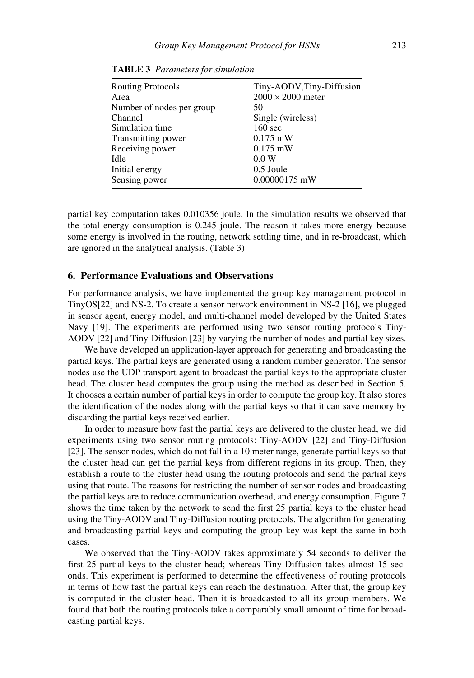| <b>Routing Protocols</b><br>Area | Tiny-AODV, Tiny-Diffusion<br>$2000 \times 2000$ meter |  |
|----------------------------------|-------------------------------------------------------|--|
|                                  |                                                       |  |
| Number of nodes per group        | 50                                                    |  |
| Channel                          | Single (wireless)                                     |  |
| Simulation time                  | $160 \text{ sec}$                                     |  |
| Transmitting power               | $0.175$ mW                                            |  |
| Receiving power                  | $0.175$ mW                                            |  |
| Idle                             | 0.0 W                                                 |  |
| Initial energy                   | 0.5 Joule                                             |  |
| Sensing power                    | 0.00000175 mW                                         |  |

**TABLE 3** *Parameters for simulation*

partial key computation takes 0.010356 joule. In the simulation results we observed that the total energy consumption is 0.245 joule. The reason it takes more energy because some energy is involved in the routing, network settling time, and in re-broadcast, which are ignored in the analytical analysis. (Table 3)

## **6. Performance Evaluations and Observations**

For performance analysis, we have implemented the group key management protocol in TinyOS[22] and NS-2. To create a sensor network environment in NS-2 [16], we plugged in sensor agent, energy model, and multi-channel model developed by the United States Navy [19]. The experiments are performed using two sensor routing protocols Tiny-AODV [22] and Tiny-Diffusion [23] by varying the number of nodes and partial key sizes.

We have developed an application-layer approach for generating and broadcasting the partial keys. The partial keys are generated using a random number generator. The sensor nodes use the UDP transport agent to broadcast the partial keys to the appropriate cluster head. The cluster head computes the group using the method as described in Section 5. It chooses a certain number of partial keys in order to compute the group key. It also stores the identification of the nodes along with the partial keys so that it can save memory by discarding the partial keys received earlier.

In order to measure how fast the partial keys are delivered to the cluster head, we did experiments using two sensor routing protocols: Tiny-AODV [22] and Tiny-Diffusion [23]. The sensor nodes, which do not fall in a 10 meter range, generate partial keys so that the cluster head can get the partial keys from different regions in its group. Then, they establish a route to the cluster head using the routing protocols and send the partial keys using that route. The reasons for restricting the number of sensor nodes and broadcasting the partial keys are to reduce communication overhead, and energy consumption. Figure 7 shows the time taken by the network to send the first 25 partial keys to the cluster head using the Tiny-AODV and Tiny-Diffusion routing protocols. The algorithm for generating and broadcasting partial keys and computing the group key was kept the same in both cases.

We observed that the Tiny-AODV takes approximately 54 seconds to deliver the first 25 partial keys to the cluster head; whereas Tiny-Diffusion takes almost 15 seconds. This experiment is performed to determine the effectiveness of routing protocols in terms of how fast the partial keys can reach the destination. After that, the group key is computed in the cluster head. Then it is broadcasted to all its group members. We found that both the routing protocols take a comparably small amount of time for broadcasting partial keys.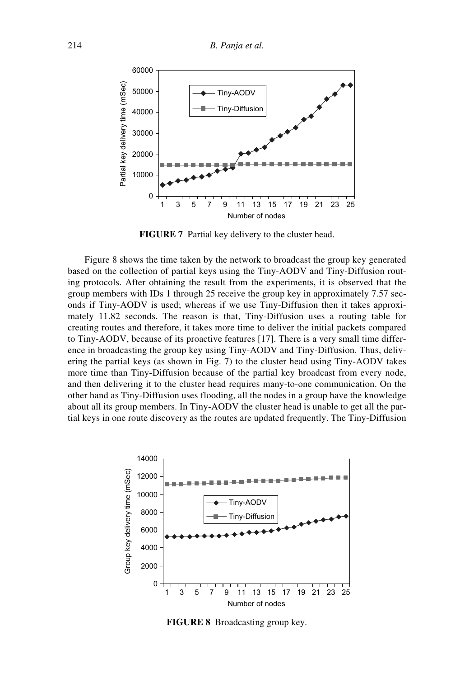

**FIGURE 7** Partial key delivery to the cluster head.

Figure 8 shows the time taken by the network to broadcast the group key generated based on the collection of partial keys using the Tiny-AODV and Tiny-Diffusion routing protocols. After obtaining the result from the experiments, it is observed that the group members with IDs 1 through 25 receive the group key in approximately 7.57 seconds if Tiny-AODV is used; whereas if we use Tiny-Diffusion then it takes approximately 11.82 seconds. The reason is that, Tiny-Diffusion uses a routing table for creating routes and therefore, it takes more time to deliver the initial packets compared to Tiny-AODV, because of its proactive features [17]. There is a very small time difference in broadcasting the group key using Tiny-AODV and Tiny-Diffusion. Thus, delivering the partial keys (as shown in Fig. 7) to the cluster head using Tiny-AODV takes more time than Tiny-Diffusion because of the partial key broadcast from every node, and then delivering it to the cluster head requires many-to-one communication. On the other hand as Tiny-Diffusion uses flooding, all the nodes in a group have the knowledge about all its group members. In Tiny-AODV the cluster head is unable to get all the partial keys in one route discovery as the routes are updated frequently. The Tiny-Diffusion



**FIGURE 8** Broadcasting group key.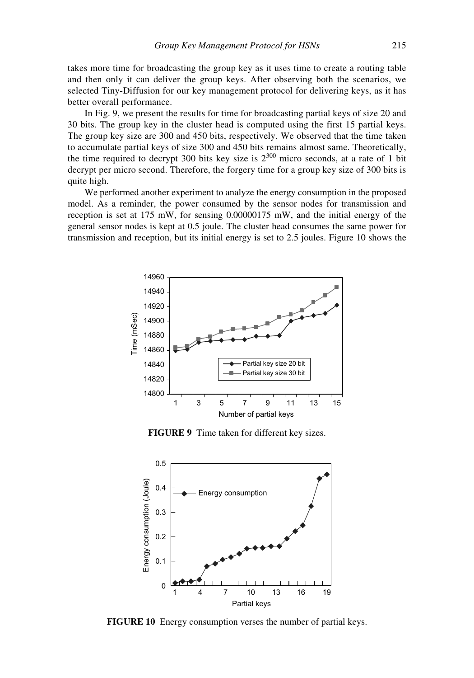takes more time for broadcasting the group key as it uses time to create a routing table and then only it can deliver the group keys. After observing both the scenarios, we selected Tiny-Diffusion for our key management protocol for delivering keys, as it has better overall performance.

In Fig. 9, we present the results for time for broadcasting partial keys of size 20 and 30 bits. The group key in the cluster head is computed using the first 15 partial keys. The group key size are 300 and 450 bits, respectively. We observed that the time taken to accumulate partial keys of size 300 and 450 bits remains almost same. Theoretically, the time required to decrypt 300 bits key size is  $2^{300}$  micro seconds, at a rate of 1 bit decrypt per micro second. Therefore, the forgery time for a group key size of 300 bits is quite high.

We performed another experiment to analyze the energy consumption in the proposed model. As a reminder, the power consumed by the sensor nodes for transmission and reception is set at 175 mW, for sensing 0.00000175 mW, and the initial energy of the general sensor nodes is kept at 0.5 joule. The cluster head consumes the same power for transmission and reception, but its initial energy is set to 2.5 joules. Figure 10 shows the



**FIGURE 9** Time taken for different key sizes.



**FIGURE 10** Energy consumption verses the number of partial keys.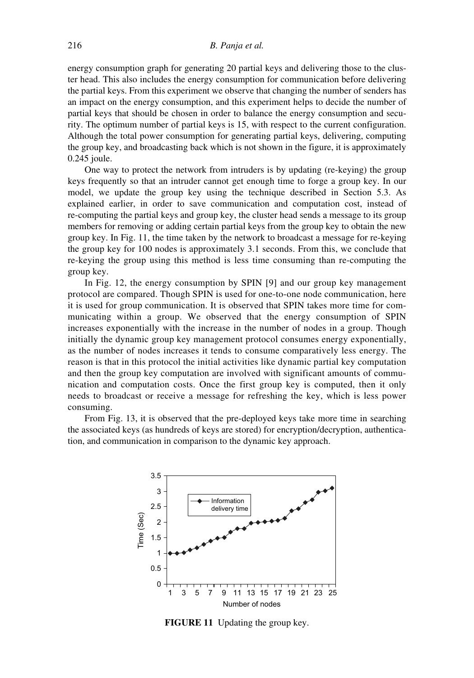energy consumption graph for generating 20 partial keys and delivering those to the cluster head. This also includes the energy consumption for communication before delivering the partial keys. From this experiment we observe that changing the number of senders has an impact on the energy consumption, and this experiment helps to decide the number of partial keys that should be chosen in order to balance the energy consumption and security. The optimum number of partial keys is 15, with respect to the current configuration. Although the total power consumption for generating partial keys, delivering, computing the group key, and broadcasting back which is not shown in the figure, it is approximately 0.245 joule.

One way to protect the network from intruders is by updating (re-keying) the group keys frequently so that an intruder cannot get enough time to forge a group key. In our model, we update the group key using the technique described in Section 5.3. As explained earlier, in order to save communication and computation cost, instead of re-computing the partial keys and group key, the cluster head sends a message to its group members for removing or adding certain partial keys from the group key to obtain the new group key. In Fig. 11, the time taken by the network to broadcast a message for re-keying the group key for 100 nodes is approximately 3.1 seconds. From this, we conclude that re-keying the group using this method is less time consuming than re-computing the group key.

In Fig. 12, the energy consumption by SPIN [9] and our group key management protocol are compared. Though SPIN is used for one-to-one node communication, here it is used for group communication. It is observed that SPIN takes more time for communicating within a group. We observed that the energy consumption of SPIN increases exponentially with the increase in the number of nodes in a group. Though initially the dynamic group key management protocol consumes energy exponentially, as the number of nodes increases it tends to consume comparatively less energy. The reason is that in this protocol the initial activities like dynamic partial key computation and then the group key computation are involved with significant amounts of communication and computation costs. Once the first group key is computed, then it only needs to broadcast or receive a message for refreshing the key, which is less power consuming.

From Fig. 13, it is observed that the pre-deployed keys take more time in searching the associated keys (as hundreds of keys are stored) for encryption/decryption, authentication, and communication in comparison to the dynamic key approach.



**FIGURE 11** Updating the group key.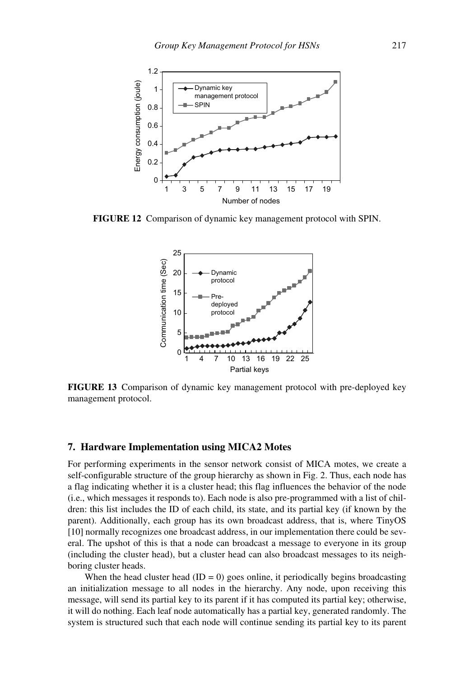

**FIGURE 12** Comparison of dynamic key management protocol with SPIN.



**FIGURE 13** Comparison of dynamic key management protocol with pre-deployed key management protocol.

#### **7. Hardware Implementation using MICA2 Motes**

For performing experiments in the sensor network consist of MICA motes, we create a self-configurable structure of the group hierarchy as shown in Fig. 2. Thus, each node has a flag indicating whether it is a cluster head; this flag influences the behavior of the node (i.e., which messages it responds to). Each node is also pre-programmed with a list of children: this list includes the ID of each child, its state, and its partial key (if known by the parent). Additionally, each group has its own broadcast address, that is, where TinyOS [10] normally recognizes one broadcast address, in our implementation there could be several. The upshot of this is that a node can broadcast a message to everyone in its group (including the cluster head), but a cluster head can also broadcast messages to its neighboring cluster heads.

When the head cluster head  $(ID = 0)$  goes online, it periodically begins broadcasting an initialization message to all nodes in the hierarchy. Any node, upon receiving this message, will send its partial key to its parent if it has computed its partial key; otherwise, it will do nothing. Each leaf node automatically has a partial key, generated randomly. The system is structured such that each node will continue sending its partial key to its parent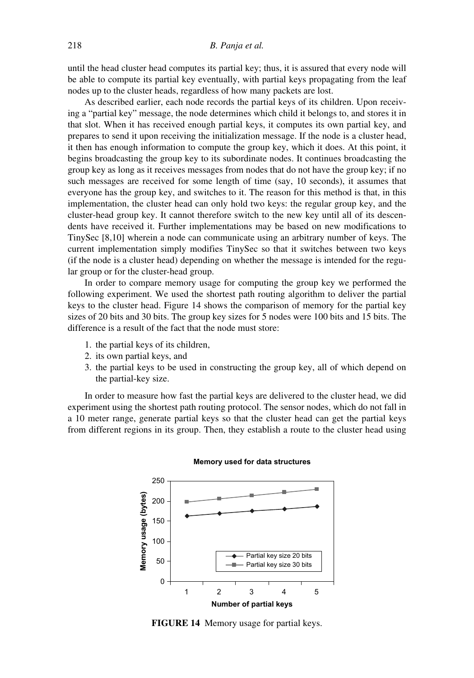until the head cluster head computes its partial key; thus, it is assured that every node will be able to compute its partial key eventually, with partial keys propagating from the leaf nodes up to the cluster heads, regardless of how many packets are lost.

As described earlier, each node records the partial keys of its children. Upon receiving a "partial key" message, the node determines which child it belongs to, and stores it in that slot. When it has received enough partial keys, it computes its own partial key, and prepares to send it upon receiving the initialization message. If the node is a cluster head, it then has enough information to compute the group key, which it does. At this point, it begins broadcasting the group key to its subordinate nodes. It continues broadcasting the group key as long as it receives messages from nodes that do not have the group key; if no such messages are received for some length of time (say, 10 seconds), it assumes that everyone has the group key, and switches to it. The reason for this method is that, in this implementation, the cluster head can only hold two keys: the regular group key, and the cluster-head group key. It cannot therefore switch to the new key until all of its descendents have received it. Further implementations may be based on new modifications to TinySec [8,10] wherein a node can communicate using an arbitrary number of keys. The current implementation simply modifies TinySec so that it switches between two keys (if the node is a cluster head) depending on whether the message is intended for the regular group or for the cluster-head group.

In order to compare memory usage for computing the group key we performed the following experiment. We used the shortest path routing algorithm to deliver the partial keys to the cluster head. Figure 14 shows the comparison of memory for the partial key sizes of 20 bits and 30 bits. The group key sizes for 5 nodes were 100 bits and 15 bits. The difference is a result of the fact that the node must store:

- 1. the partial keys of its children,
- 2. its own partial keys, and
- 3. the partial keys to be used in constructing the group key, all of which depend on the partial-key size.

In order to measure how fast the partial keys are delivered to the cluster head, we did experiment using the shortest path routing protocol. The sensor nodes, which do not fall in a 10 meter range, generate partial keys so that the cluster head can get the partial keys from different regions in its group. Then, they establish a route to the cluster head using



#### **Memory used for data structures**

**FIGURE 14** Memory usage for partial keys.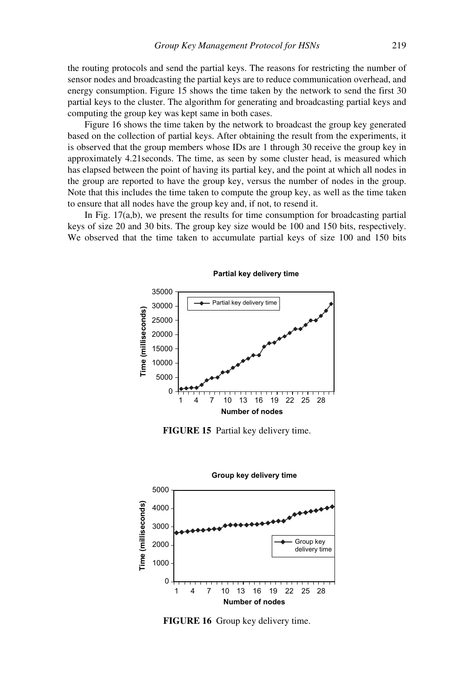the routing protocols and send the partial keys. The reasons for restricting the number of sensor nodes and broadcasting the partial keys are to reduce communication overhead, and energy consumption. Figure 15 shows the time taken by the network to send the first 30 partial keys to the cluster. The algorithm for generating and broadcasting partial keys and computing the group key was kept same in both cases.

Figure 16 shows the time taken by the network to broadcast the group key generated based on the collection of partial keys. After obtaining the result from the experiments, it is observed that the group members whose IDs are 1 through 30 receive the group key in approximately 4.21seconds. The time, as seen by some cluster head, is measured which has elapsed between the point of having its partial key, and the point at which all nodes in the group are reported to have the group key, versus the number of nodes in the group. Note that this includes the time taken to compute the group key, as well as the time taken to ensure that all nodes have the group key and, if not, to resend it.

In Fig.  $17(a,b)$ , we present the results for time consumption for broadcasting partial keys of size 20 and 30 bits. The group key size would be 100 and 150 bits, respectively. We observed that the time taken to accumulate partial keys of size 100 and 150 bits



**FIGURE 15** Partial key delivery time.



**FIGURE 16** Group key delivery time.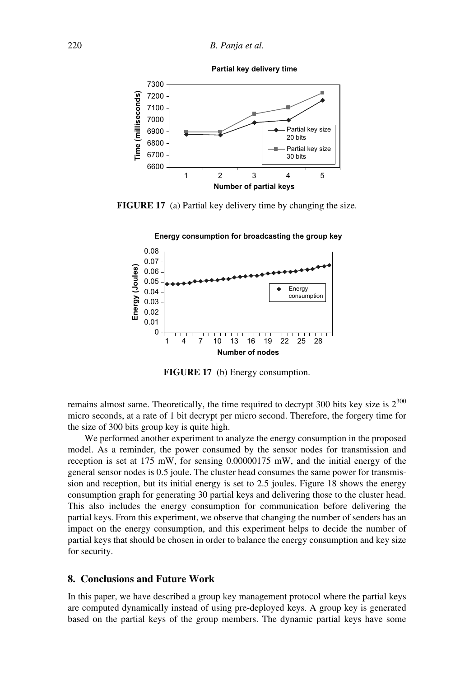

#### **Partial key delivery time**

**FIGURE 17** (a) Partial key delivery time by changing the size.





**FIGURE 17** (b) Energy consumption.

remains almost same. Theoretically, the time required to decrypt 300 bits key size is  $2^{300}$ micro seconds, at a rate of 1 bit decrypt per micro second. Therefore, the forgery time for the size of 300 bits group key is quite high.

We performed another experiment to analyze the energy consumption in the proposed model. As a reminder, the power consumed by the sensor nodes for transmission and reception is set at 175 mW, for sensing 0.00000175 mW, and the initial energy of the general sensor nodes is 0.5 joule. The cluster head consumes the same power for transmission and reception, but its initial energy is set to 2.5 joules. Figure 18 shows the energy consumption graph for generating 30 partial keys and delivering those to the cluster head. This also includes the energy consumption for communication before delivering the partial keys. From this experiment, we observe that changing the number of senders has an impact on the energy consumption, and this experiment helps to decide the number of partial keys that should be chosen in order to balance the energy consumption and key size for security.

## **8. Conclusions and Future Work**

In this paper, we have described a group key management protocol where the partial keys are computed dynamically instead of using pre-deployed keys. A group key is generated based on the partial keys of the group members. The dynamic partial keys have some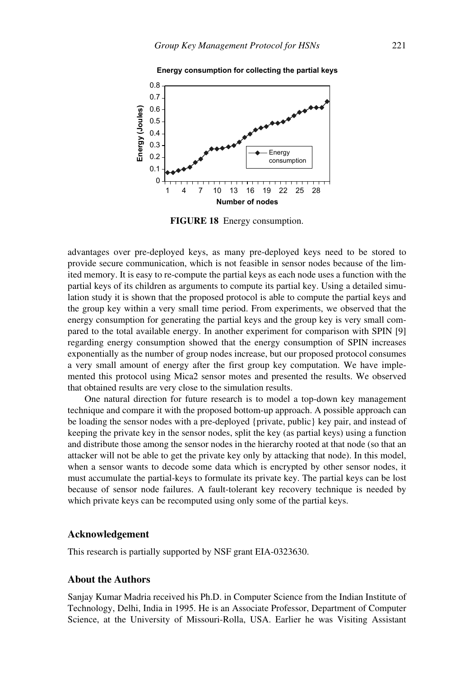

**Energy consumption for collecting the partial keys**

**FIGURE 18** Energy consumption.

advantages over pre-deployed keys, as many pre-deployed keys need to be stored to provide secure communication, which is not feasible in sensor nodes because of the limited memory. It is easy to re-compute the partial keys as each node uses a function with the partial keys of its children as arguments to compute its partial key. Using a detailed simulation study it is shown that the proposed protocol is able to compute the partial keys and the group key within a very small time period. From experiments, we observed that the energy consumption for generating the partial keys and the group key is very small compared to the total available energy. In another experiment for comparison with SPIN [9] regarding energy consumption showed that the energy consumption of SPIN increases exponentially as the number of group nodes increase, but our proposed protocol consumes a very small amount of energy after the first group key computation. We have implemented this protocol using Mica2 sensor motes and presented the results. We observed that obtained results are very close to the simulation results.

One natural direction for future research is to model a top-down key management technique and compare it with the proposed bottom-up approach. A possible approach can be loading the sensor nodes with a pre-deployed {private, public} key pair, and instead of keeping the private key in the sensor nodes, split the key (as partial keys) using a function and distribute those among the sensor nodes in the hierarchy rooted at that node (so that an attacker will not be able to get the private key only by attacking that node). In this model, when a sensor wants to decode some data which is encrypted by other sensor nodes, it must accumulate the partial-keys to formulate its private key. The partial keys can be lost because of sensor node failures. A fault-tolerant key recovery technique is needed by which private keys can be recomputed using only some of the partial keys.

## **Acknowledgement**

This research is partially supported by NSF grant EIA-0323630.

## **About the Authors**

Sanjay Kumar Madria received his Ph.D. in Computer Science from the Indian Institute of Technology, Delhi, India in 1995. He is an Associate Professor, Department of Computer Science, at the University of Missouri-Rolla, USA. Earlier he was Visiting Assistant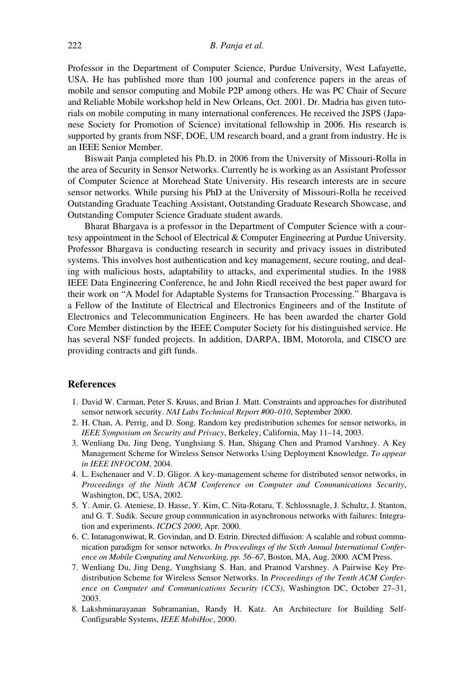Professor in the Department of Computer Science, Purdue University, West Lafayette, USA. He has published more than 100 journal and conference papers in the areas of mobile and sensor computing and Mobile P2P among others. He was PC Chair of Secure and Reliable Mobile workshop held in New Orleans, Oct. 2001. Dr. Madria has given tutorials on mobile computing in many international conferences. He received the JSPS (Japanese Society for Promotion of Science) invitational fellowship in 2006. His research is supported by grants from NSF, DOE, UM research board, and a grant from industry. He is an IEEE Senior Member.

Biswait Panja completed his Ph.D. in 2006 from the University of Missouri-Rolla in the area of Security in Sensor Networks. Currently he is working as an Assistant Professor of Computer Science at Morehead State University. His research interests are in secure sensor networks. While pursing his PhD at the University of Missouri-Rolla he received Outstanding Graduate Teaching Assistant, Outstanding Graduate Research Showcase, and Outstanding Computer Science Graduate student awards.

Bharat Bhargava is a professor in the Department of Computer Science with a courtesy appointment in the School of Electrical & Computer Engineering at Purdue University. Professor Bhargava is conducting research in security and privacy issues in distributed systems. This involves host authentication and key management, secure routing, and dealing with malicious hosts, adaptability to attacks, and experimental studies. In the 1988 IEEE Data Engineering Conference, he and John Riedl received the best paper award for their work on "A Model for Adaptable Systems for Transaction Processing." Bhargava is a Fellow of the Institute of Electrical and Electronics Engineers and of the Institute of Electronics and Telecommunication Engineers. He has been awarded the charter Gold Core Member distinction by the IEEE Computer Society for his distinguished service. He has several NSF funded projects. In addition, DARPA, IBM, Motorola, and CISCO are providing contracts and gift funds.

## **References**

- 1. David W. Carman, Peter S. Kruus, and Brian J. Matt. Constraints and approaches for distributed sensor network security. *NAI Labs Technical Report #00–010*, September 2000.
- 2. H. Chan, A. Perrig, and D. Song. Random key predistribution schemes for sensor networks, in *IEEE Symposium on Security and Privacy*, Berkeley, California, May 11–14, 2003.
- 3. Wenliang Du, Jing Deng, Yunghsiang S. Han, Shigang Chen and Pramod Varshney. A Key Management Scheme for Wireless Sensor Networks Using Deployment Knowledge. *To appear in IEEE INFOCOM*, 2004.
- 4. L. Eschenauer and V. D. Gligor. A key-management scheme for distributed sensor networks, in *Proceedings of the Ninth ACM Conference on Computer and Communications Security*, Washington, DC, USA, 2002.
- 5. Y. Amir, G. Ateniese, D. Hasse, Y. Kim, C. Nita-Rotaru, T. Schlossnagle, J. Schultz, J. Stanton, and G. T. Sudik. Secure group communication in asynchronous networks with failures: Integration and experiments. *ICDCS 2000*, Apr. 2000.
- 6. C. Intanagonwiwat, R. Govindan, and D. Estrin. Directed diffusion: A scalable and robust communication paradigm for sensor networks. *In Proceedings of the Sixth Annual International Conference on Mobile Computing and Networking, pp. 56–67*, Boston, MA, Aug. 2000. ACM Press.
- 7. Wenliang Du, Jing Deng, Yunghsiang S. Han, and Pramod Varshney. A Pairwise Key Predistribution Scheme for Wireless Sensor Networks. In *Proceedings of the Tenth ACM Conference on Computer and Communications Security (CCS)*, Washington DC, October 27–31, 2003.
- 8. Lakshminarayanan Subramanian, Randy H. Katz. An Architecture for Building Self-Configurable Systems, *IEEE MobiHoc*, 2000.